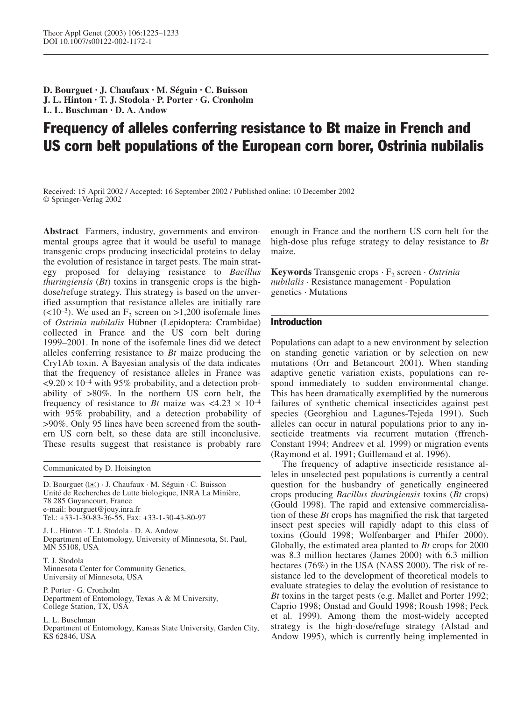**D. Bourguet · J. Chaufaux · M. Séguin · C. Buisson J. L. Hinton · T. J. Stodola · P. Porter · G. Cronholm L. L. Buschman · D. A. Andow**

# Frequency of alleles conferring resistance to Bt maize in French and US corn belt populations of the European corn borer, Ostrinia nubilalis

Received: 15 April 2002 / Accepted: 16 September 2002 / Published online: 10 December 2002 © Springer-Verlag 2002

**Abstract** Farmers, industry, governments and environmental groups agree that it would be useful to manage transgenic crops producing insecticidal proteins to delay the evolution of resistance in target pests. The main strategy proposed for delaying resistance to *Bacillus thuringiensis* (*Bt*) toxins in transgenic crops is the highdose/refuge strategy. This strategy is based on the unverified assumption that resistance alleles are initially rare  $\left($ <10<sup>-3</sup>). We used an F<sub>2</sub> screen on >1,200 isofemale lines of *Ostrinia nubilalis* Hübner (Lepidoptera: Crambidae) collected in France and the US corn belt during 1999–2001. In none of the isofemale lines did we detect alleles conferring resistance to *Bt* maize producing the Cry1Ab toxin. A Bayesian analysis of the data indicates that the frequency of resistance alleles in France was  $\langle 9.20 \times 10^{-4}$  with 95% probability, and a detection probability of >80%. In the northern US corn belt, the frequency of resistance to *Bt* maize was  $\langle 4.23 \times 10^{-4} \rangle$ with 95% probability, and a detection probability of >90%. Only 95 lines have been screened from the southern US corn belt, so these data are still inconclusive. These results suggest that resistance is probably rare

Communicated by D. Hoisington

D. Bourguet (✉) · J. Chaufaux · M. Séguin · C. Buisson Unité de Recherches de Lutte biologique, INRA La Minière, 78 285 Guyancourt, France e-mail: bourguet@jouy.inra.fr Tel.: +33-1-30-83-36-55, Fax: +33-1-30-43-80-97

J. L. Hinton · T. J. Stodola · D. A. Andow Department of Entomology, University of Minnesota, St. Paul, MN 55108, USA

T. J. Stodola Minnesota Center for Community Genetics, University of Minnesota, USA

P. Porter · G. Cronholm Department of Entomology, Texas A & M University, College Station, TX, USA

L. L. Buschman Department of Entomology, Kansas State University, Garden City, KS 62846, USA

enough in France and the northern US corn belt for the high-dose plus refuge strategy to delay resistance to *Bt* maize.

**Keywords** Transgenic crops  $\cdot$  F<sub>2</sub> screen  $\cdot$  *Ostrinia nubilalis* · Resistance management · Population genetics · Mutations

# Introduction

Populations can adapt to a new environment by selection on standing genetic variation or by selection on new mutations (Orr and Betancourt 2001). When standing adaptive genetic variation exists, populations can respond immediately to sudden environmental change. This has been dramatically exemplified by the numerous failures of synthetic chemical insecticides against pest species (Georghiou and Lagunes-Tejeda 1991). Such alleles can occur in natural populations prior to any insecticide treatments via recurrent mutation (ffrench-Constant 1994; Andreev et al. 1999) or migration events (Raymond et al. 1991; Guillemaud et al. 1996).

The frequency of adaptive insecticide resistance alleles in unselected pest populations is currently a central question for the husbandry of genetically engineered crops producing *Bacillus thuringiensis* toxins (*Bt* crops) (Gould 1998). The rapid and extensive commercialisation of these *Bt* crops has magnified the risk that targeted insect pest species will rapidly adapt to this class of toxins (Gould 1998; Wolfenbarger and Phifer 2000). Globally, the estimated area planted to *Bt* crops for 2000 was 8.3 million hectares (James 2000) with 6.3 million hectares (76%) in the USA (NASS 2000). The risk of resistance led to the development of theoretical models to evaluate strategies to delay the evolution of resistance to *Bt* toxins in the target pests (e.g. Mallet and Porter 1992; Caprio 1998; Onstad and Gould 1998; Roush 1998; Peck et al. 1999). Among them the most-widely accepted strategy is the high-dose/refuge strategy (Alstad and Andow 1995), which is currently being implemented in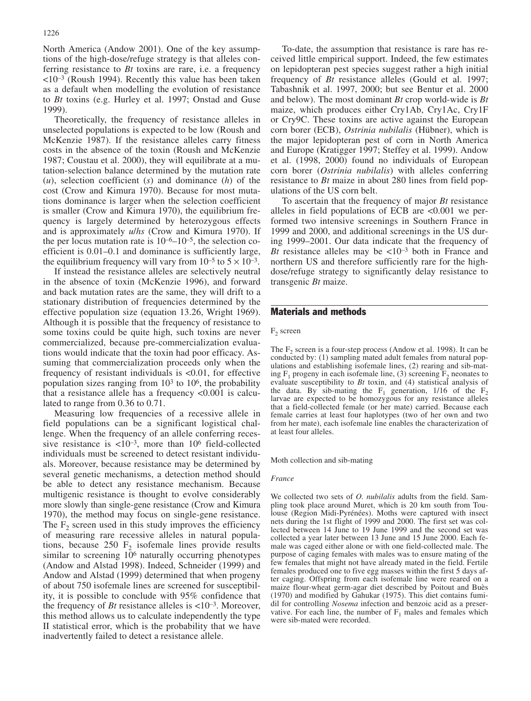North America (Andow 2001). One of the key assumptions of the high-dose/refuge strategy is that alleles conferring resistance to *Bt* toxins are rare, i.e. a frequency  $\langle 10^{-3}$  (Roush 1994). Recently this value has been taken as a default when modelling the evolution of resistance to *Bt* toxins (e.g. Hurley et al. 1997; Onstad and Guse 1999).

Theoretically, the frequency of resistance alleles in unselected populations is expected to be low (Roush and McKenzie 1987). If the resistance alleles carry fitness costs in the absence of the toxin (Roush and McKenzie 1987; Coustau et al. 2000), they will equilibrate at a mutation-selection balance determined by the mutation rate (*u*), selection coefficient (*s*) and dominance (*h*) of the cost (Crow and Kimura 1970). Because for most mutations dominance is larger when the selection coefficient is smaller (Crow and Kimura 1970), the equilibrium frequency is largely determined by heterozygous effects and is approximately *u*/*hs* (Crow and Kimura 1970). If the per locus mutation rate is  $10^{-6}$ – $10^{-5}$ , the selection coefficient is 0.01–0.1 and dominance is sufficiently large, the equilibrium frequency will vary from  $10^{-5}$  to  $5 \times 10^{-3}$ .

If instead the resistance alleles are selectively neutral in the absence of toxin (McKenzie 1996), and forward and back mutation rates are the same, they will drift to a stationary distribution of frequencies determined by the effective population size (equation 13.26, Wright 1969). Although it is possible that the frequency of resistance to some toxins could be quite high, such toxins are never commercialized, because pre-commercialization evaluations would indicate that the toxin had poor efficacy. Assuming that commercialization proceeds only when the frequency of resistant individuals is <0.01, for effective population sizes ranging from  $10<sup>3</sup>$  to  $10<sup>6</sup>$ , the probability that a resistance allele has a frequency <0.001 is calculated to range from 0.36 to 0.71.

Measuring low frequencies of a recessive allele in field populations can be a significant logistical challenge. When the frequency of an allele conferring recessive resistance is  $\langle 10^{-3}$ , more than 10<sup>6</sup> field-collected individuals must be screened to detect resistant individuals. Moreover, because resistance may be determined by several genetic mechanisms, a detection method should be able to detect any resistance mechanism. Because multigenic resistance is thought to evolve considerably more slowly than single-gene resistance (Crow and Kimura 1970), the method may focus on single-gene resistance. The  $F<sub>2</sub>$  screen used in this study improves the efficiency of measuring rare recessive alleles in natural populations, because  $250 \text{ F}_2$  isofemale lines provide results similar to screening 106 naturally occurring phenotypes (Andow and Alstad 1998). Indeed, Schneider (1999) and Andow and Alstad (1999) determined that when progeny of about 750 isofemale lines are screened for susceptibility, it is possible to conclude with 95% confidence that the frequency of *Bt* resistance alleles is  $<10^{-3}$ . Moreover, this method allows us to calculate independently the type II statistical error, which is the probability that we have inadvertently failed to detect a resistance allele.

To-date, the assumption that resistance is rare has received little empirical support. Indeed, the few estimates on lepidopteran pest species suggest rather a high initial frequency of *Bt* resistance alleles (Gould et al. 1997; Tabashnik et al. 1997, 2000; but see Bentur et al. 2000 and below). The most dominant *Bt* crop world-wide is *Bt* maize, which produces either Cry1Ab, Cry1Ac, Cry1F or Cry9C. These toxins are active against the European corn borer (ECB), *Ostrinia nubilalis* (Hübner), which is the major lepidopteran pest of corn in North America and Europe (Kratigger 1997; Steffey et al. 1999). Andow et al. (1998, 2000) found no individuals of European corn borer (*Ostrinia nubilalis*) with alleles conferring resistance to *Bt* maize in about 280 lines from field populations of the US corn belt.

To ascertain that the frequency of major *Bt* resistance alleles in field populations of ECB are  $\leq 0.001$  we performed two intensive screenings in Southern France in 1999 and 2000, and additional screenings in the US during 1999–2001. Our data indicate that the frequency of *Bt* resistance alleles may be  $\lt 10^{-3}$  both in France and northern US and therefore sufficiently rare for the highdose/refuge strategy to significantly delay resistance to transgenic *Bt* maize.

# Materials and methods

 $F_2$  screen

The  $F_2$  screen is a four-step process (Andow et al. 1998). It can be conducted by: (1) sampling mated adult females from natural populations and establishing isofemale lines, (2) rearing and sib-mating  $F_1$  progeny in each isofemale line, (3) screening  $F_2$  neonates to evaluate susceptibility to *Bt* toxin, and (4) statistical analysis of the data. By sib-mating the  $F_1$  generation, 1/16 of the  $F_2$ larvae are expected to be homozygous for any resistance alleles that a field-collected female (or her mate) carried. Because each female carries at least four haplotypes (two of her own and two from her mate), each isofemale line enables the characterization of at least four alleles.

Moth collection and sib-mating

#### *France*

We collected two sets of *O. nubilalis* adults from the field. Sampling took place around Muret, which is 20 km south from Toulouse (Region Midi-Pyrénées). Moths were captured with insect nets during the 1st flight of 1999 and 2000. The first set was collected between 14 June to 19 June 1999 and the second set was collected a year later between 13 June and 15 June 2000. Each female was caged either alone or with one field-collected male. The purpose of caging females with males was to ensure mating of the few females that might not have already mated in the field. Fertile females produced one to five egg masses within the first 5 days after caging. Offspring from each isofemale line were reared on a maize flour-wheat germ-agar diet described by Poitout and Buès (1970) and modified by Gahukar (1975). This diet contains fumidil for controlling *Nosema* infection and benzoic acid as a preservative. For each line, the number of  $F_1$  males and females which were sib-mated were recorded.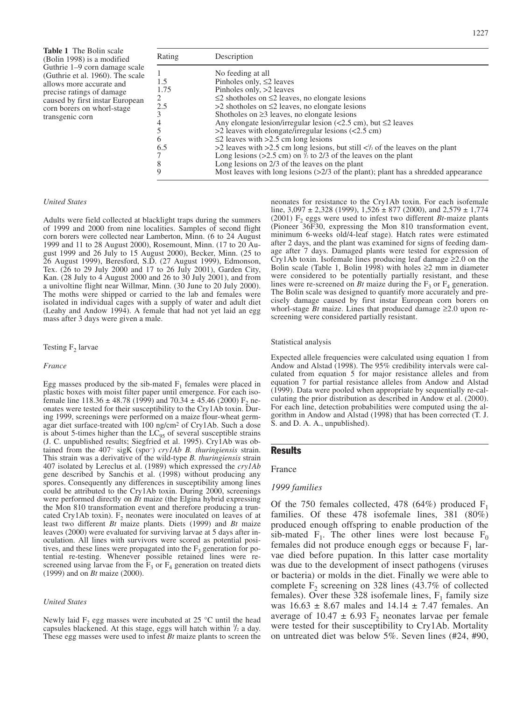**Table 1** The Bolin scale (Bolin 1998) is a modified Guthrie 1–9 corn damage scale (Guthrie et al. 1960). The scale allows more accurate and precise ratings of damage caused by first instar European corn borers on whorl-stage transgenic corn

| Rating        | Description                                                                                       |
|---------------|---------------------------------------------------------------------------------------------------|
|               | No feeding at all                                                                                 |
| 1.5           | Pinholes only, $\leq$ 2 leaves                                                                    |
| 1.75          | Pinholes only, >2 leaves                                                                          |
| $\mathcal{L}$ | $\leq$ 2 shotholes on $\leq$ 2 leaves, no elongate lesions                                        |
| 2.5           | $>2$ shotholes on $\leq$ 2 leaves, no elongate lesions                                            |
|               | Shotholes on $\geq$ 3 leaves, no elongate lesions                                                 |
|               | Any elongate lesion/irregular lesion $(<2.5$ cm), but $\leq$ 2 leaves                             |
|               | $>$ 2 leaves with elongate/irregular lesions ( $<$ 2.5 cm)                                        |
| 6             | $\leq$ 2 leaves with >2.5 cm long lesions                                                         |
| 6.5           | >2 leaves with >2.5 cm long lesions, but still $\langle \cdot \rangle$ of the leaves on the plant |
|               | Long lesions (>2.5 cm) on $\frac{1}{2}$ to 2/3 of the leaves on the plant                         |
| 8             | Long lesions on $2/3$ of the leaves on the plant                                                  |
| 9             | Most leaves with long lesions $(>2/3$ of the plant); plant has a shredded appearance              |

#### *United States*

Adults were field collected at blacklight traps during the summers of 1999 and 2000 from nine localities. Samples of second flight corn borers were collected near Lamberton, Minn. (6 to 24 August 1999 and 11 to 28 August 2000), Rosemount, Minn. (17 to 20 August 1999 and 26 July to 15 August 2000), Becker, Minn. (25 to 26 August 1999), Beresford, S.D. (27 August 1999), Edmonson, Tex. (26 to 29 July 2000 and 17 to 26 July 2001), Garden City, Kan. (28 July to 4 August 2000 and 26 to 30 July 2001), and from a univoltine flight near Willmar, Minn. (30 June to 20 July 2000). The moths were shipped or carried to the lab and females were isolated in individual cages with a supply of water and adult diet (Leahy and Andow 1994). A female that had not yet laid an egg mass after 3 days were given a male.

### Testing  $F_2$  larvae

#### *France*

Egg masses produced by the sib-mated  $F_1$  females were placed in plastic boxes with moist filter paper until emergence. For each isofemale line  $118.36 \pm 48.78$  (1999) and  $70.34 \pm 45.46$  (2000) F<sub>2</sub> neonates were tested for their susceptibility to the Cry1Ab toxin. During 1999, screenings were performed on a maize flour-wheat germagar diet surface-treated with 100 ng/cm2 of Cry1Ab. Such a dose is about 5-times higher than the  $LC_{95}$  of several susceptible strains (J. C. unpublished results; Siegfried et al. 1995). Cry1Ab was obtained from the 407– sigK (spo–) *cry1Ab B. thuringiensis* strain. This strain was a derivative of the wild-type *B. thuringiensis* strain 407 isolated by Lereclus et al. (1989) which expressed the *cry1Ab* gene described by Sanchis et al. (1998) without producing any spores. Consequently any differences in susceptibility among lines could be attributed to the Cry1Ab toxin. During 2000, screenings were performed directly on *Bt* maize (the Elgina hybrid expressing the Mon 810 transformation event and therefore producing a truncated Cry1Ab toxin).  $F_2$  neonates were inoculated on leaves of at least two different *Bt* maize plants. Diets (1999) and *Bt* maize leaves (2000) were evaluated for surviving larvae at 5 days after inoculation. All lines with survivors were scored as potential positives, and these lines were propagated into the  $F_3$  generation for potential re-testing. Whenever possible retained lines were rescreened using larvae from the  $\overline{F}_3$  or  $F_4$  generation on treated diets (1999) and on *Bt* maize (2000).

#### *United States*

Newly laid  $F_2$  egg masses were incubated at 25 °C until the head capsules blackened. At this stage, eggs will hatch within  $\frac{1}{2}$  a day. These egg masses were used to infest *Bt* maize plants to screen the neonates for resistance to the Cry1Ab toxin. For each isofemale line,  $3,097 \pm 2,328$  (1999),  $1,526 \pm 877$  (2000), and  $2,579 \pm 1,774$ (2001)  $F_2$  eggs were used to infest two different *Bt*-maize plants (Pioneer 36F30, expressing the Mon 810 transformation event, minimum 6-weeks old/4-leaf stage). Hatch rates were estimated after 2 days, and the plant was examined for signs of feeding damage after 7 days. Damaged plants were tested for expression of Cry1Ab toxin. Isofemale lines producing leaf damage ≥2.0 on the Bolin scale (Table 1, Bolin 1998) with holes  $\geq 2$  mm in diameter were considered to be potentially partially resistant, and these lines were re-screened on *Bt* maize during the  $F_3$  or  $F_4$  generation. The Bolin scale was designed to quantify more accurately and precisely damage caused by first instar European corn borers on whorl-stage *Bt* maize. Lines that produced damage ≥2.0 upon rescreening were considered partially resistant.

#### Statistical analysis

Expected allele frequencies were calculated using equation 1 from Andow and Alstad (1998). The 95% credibility intervals were calculated from equation 5 for major resistance alleles and from equation 7 for partial resistance alleles from Andow and Alstad (1999). Data were pooled when appropriate by sequentially re-calculating the prior distribution as described in Andow et al. (2000). For each line, detection probabilities were computed using the algorithm in Andow and Alstad (1998) that has been corrected (T. J. S. and D. A. A., unpublished).

### **Results**

France

# *1999 families*

Of the 750 females collected, 478 (64%) produced  $F$ families. Of these 478 isofemale lines, 381 (80%) produced enough offspring to enable production of the sib-mated  $F_1$ . The other lines were lost because  $F_0$ females did not produce enough eggs or because  $F_1$  larvae died before pupation. In this latter case mortality was due to the development of insect pathogens (viruses or bacteria) or molds in the diet. Finally we were able to complete  $F<sub>2</sub>$  screening on 328 lines (43.7% of collected females). Over these 328 isofemale lines,  $F_1$  family size was  $16.63 \pm 8.67$  males and  $14.14 \pm 7.47$  females. An average of  $10.47 \pm 6.93$  F<sub>2</sub> neonates larvae per female were tested for their susceptibility to Cry1Ab. Mortality on untreated diet was below 5%. Seven lines (#24, #90,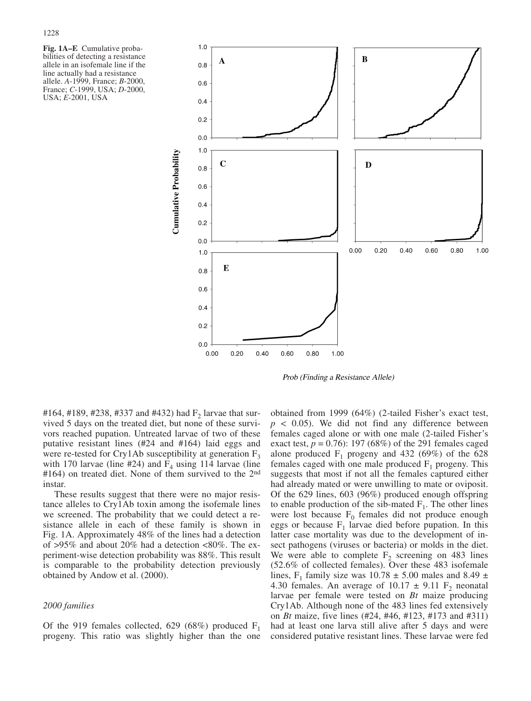**Fig. 1A–E** Cumulative probabilities of detecting a resistance allele in an isofemale line if the line actually had a resistance allele. *A*-1999, France; *B*-2000, France; *C*-1999, USA; *D*-2000, USA; *E*-2001, USA



Prob (Finding a Resistance Allele)

#164, #189, #238, #337 and #432) had  $F_2$  larvae that survived 5 days on the treated diet, but none of these survivors reached pupation. Untreated larvae of two of these putative resistant lines (#24 and #164) laid eggs and were re-tested for Cry1Ab susceptibility at generation  $F_3$ with 170 larvae (line #24) and  $F_4$  using 114 larvae (line #164) on treated diet. None of them survived to the 2nd instar.

These results suggest that there were no major resistance alleles to Cry1Ab toxin among the isofemale lines we screened. The probability that we could detect a resistance allele in each of these family is shown in Fig. 1A. Approximately 48% of the lines had a detection of >95% and about 20% had a detection <80%. The experiment-wise detection probability was 88%. This result is comparable to the probability detection previously obtained by Andow et al. (2000).

# *2000 families*

Of the 919 females collected, 629 (68%) produced  $F_1$ progeny. This ratio was slightly higher than the one

obtained from 1999 (64%) (2-tailed Fisher's exact test,  $p \leq 0.05$ ). We did not find any difference between females caged alone or with one male (2-tailed Fisher's exact test,  $p = 0.76$ : 197 (68%) of the 291 females caged alone produced  $F_1$  progeny and 432 (69%) of the 628 females caged with one male produced  $F_1$  progeny. This suggests that most if not all the females captured either had already mated or were unwilling to mate or oviposit. Of the 629 lines, 603 (96%) produced enough offspring to enable production of the sib-mated  $F_1$ . The other lines were lost because  $F_0$  females did not produce enough eggs or because  $F_1$  larvae died before pupation. In this latter case mortality was due to the development of insect pathogens (viruses or bacteria) or molds in the diet. We were able to complete  $F_2$  screening on 483 lines (52.6% of collected females). Over these 483 isofemale lines, F<sub>1</sub> family size was 10.78  $\pm$  5.00 males and 8.49  $\pm$ 4.30 females. An average of  $10.17 \pm 9.11$  F<sub>2</sub> neonatal larvae per female were tested on *Bt* maize producing Cry1Ab. Although none of the 483 lines fed extensively on *Bt* maize, five lines (#24, #46, #123, #173 and #311) had at least one larva still alive after 5 days and were considered putative resistant lines. These larvae were fed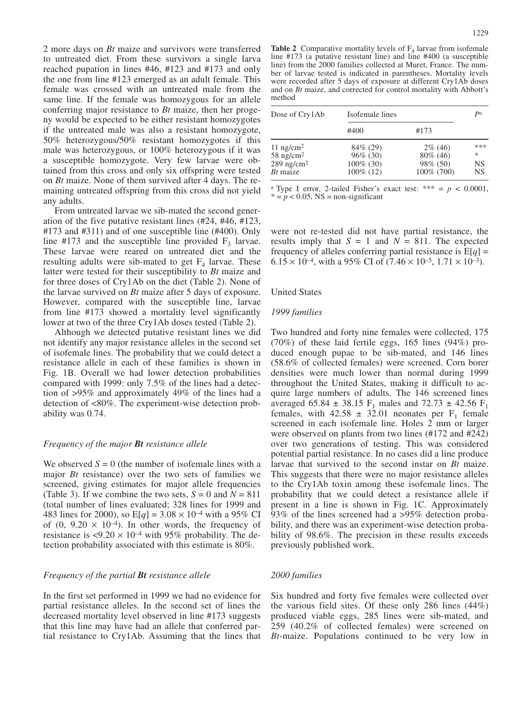2 more days on *Bt* maize and survivors were transferred to untreated diet. From these survivors a single larva reached pupation in lines #46, #123 and #173 and only the one from line #123 emerged as an adult female. This female was crossed with an untreated male from the same line. If the female was homozygous for an allele conferring major resistance to *Bt* maize, then her progeny would be expected to be either resistant homozygotes if the untreated male was also a resistant homozygote, 50% heterozygous/50% resistant homozygotes if this male was heterozygous, or 100% heterozygous if it was a susceptible homozygote. Very few larvae were obtained from this cross and only six offspring were tested on *Bt* maize. None of them survived after 4 days. The remaining untreated offspring from this cross did not yield any adults.

From untreated larvae we sib-mated the second generation of the five putative resistant lines (#24, #46, #123, #173 and #311) and of one susceptible line (#400). Only line #173 and the susceptible line provided  $F_3$  larvae. These larvae were reared on untreated diet and the resulting adults were sib-mated to get  $F_4$  larvae. These latter were tested for their susceptibility to *Bt* maize and for three doses of Cry1Ab on the diet (Table 2). None of the larvae survived on *Bt* maize after 5 days of exposure. However, compared with the susceptible line, larvae from line #173 showed a mortality level significantly lower at two of the three Cry1Ab doses tested (Table 2).

Although we detected putative resistant lines we did not identify any major resistance alleles in the second set of isofemale lines. The probability that we could detect a resistance allele in each of these families is shown in Fig. 1B. Overall we had lower detection probabilities compared with 1999: only 7.5% of the lines had a detection of >95% and approximately 49% of the lines had a detection of <80%. The experiment-wise detection probability was 0.74.

## *Frequency of the major Bt resistance allele*

We observed  $S = 0$  (the number of isofemale lines with a major *Bt* resistance) over the two sets of families we screened, giving estimates for major allele frequencies (Table 3). If we combine the two sets,  $S = 0$  and  $N = 811$ (total number of lines evaluated; 328 lines for 1999 and 483 lines for 2000), so  $E[q] = 3.08 \times 10^{-4}$  with a 95% CI of  $(0, 9.20 \times 10^{-4})$ . In other words, the frequency of resistance is  $\langle 9.20 \times 10^{-4} \text{ with } 95\% \text{ probability.}$  The detection probability associated with this estimate is 80%.

# *Frequency of the partial Bt resistance allele*

In the first set performed in 1999 we had no evidence for partial resistance alleles. In the second set of lines the decreased mortality level observed in line #173 suggests that this line may have had an allele that conferred partial resistance to Cry1Ab. Assuming that the lines that

**Table 2** Comparative mortality levels of  $F_4$  larvae from isofemale line #173 (a putative resistant line) and line #400 (a susceptible line) from the 2000 families collected at Muret, France. The number of larvae tested is indicated in parentheses. Mortality levels were recorded after 5 days of exposure at different Cry1Ab doses and on *Bt* maize, and corrected for control mortality with Abbott's method

| Dose of CrylAb                                                                             | Isofemale lines                                          |                                                      |                      |
|--------------------------------------------------------------------------------------------|----------------------------------------------------------|------------------------------------------------------|----------------------|
|                                                                                            | #400                                                     | #173                                                 |                      |
| $11$ ng/cm <sup>2</sup><br>$58$ ng/cm <sup>2</sup><br>$289$ ng/cm <sup>2</sup><br>Bt maize | 84\% (29)<br>$96\%$ (30)<br>$100\%$ (30)<br>$100\%$ (12) | $2\%$ (46)<br>$80\%$ (46)<br>98\% (50)<br>100% (700) | ***<br>*<br>NS<br>NS |

<sup>a</sup> Type I error, 2-tailed Fisher's exact test: \*\*\* =  $p < 0.0001$ ,  $* = p < 0.05$ , NS = non-significant

were not re-tested did not have partial resistance, the results imply that  $S = 1$  and  $N = 811$ . The expected frequency of alleles conferring partial resistance is  $E[q] =$  $6.15 \times 10^{-4}$ , with a 95% CI of  $(7.46 \times 10^{-5}, 1.71 \times 10^{-3})$ .

## United States

### *1999 families*

Two hundred and forty nine females were collected, 175 (70%) of these laid fertile eggs, 165 lines (94%) produced enough pupae to be sib-mated, and 146 lines (58.6% of collected females) were screened. Corn borer densities were much lower than normal during 1999 throughout the United States, making it difficult to acquire large numbers of adults. The 146 screened lines averaged 65.84  $\pm$  38.15 F<sub>1</sub> males and 72.73  $\pm$  42.56 F<sub>1</sub> females, with  $42.58 \pm 32.01$  neonates per F<sub>1</sub> female screened in each isofemale line. Holes 2 mm or larger were observed on plants from two lines (#172 and #242) over two generations of testing. This was considered potential partial resistance. In no cases did a line produce larvae that survived to the second instar on *Bt* maize. This suggests that there were no major resistance alleles to the Cry1Ab toxin among these isofemale lines. The probability that we could detect a resistance allele if present in a line is shown in Fig. 1C. Approximately 93% of the lines screened had a >95% detection probability, and there was an experiment-wise detection probability of 98.6%. The precision in these results exceeds previously published work.

# *2000 families*

Six hundred and forty five females were collected over the various field sites. Of these only 286 lines (44%) produced viable eggs, 285 lines were sib-mated, and 259 (40.2% of collected females) were screened on *Bt*-maize. Populations continued to be very low in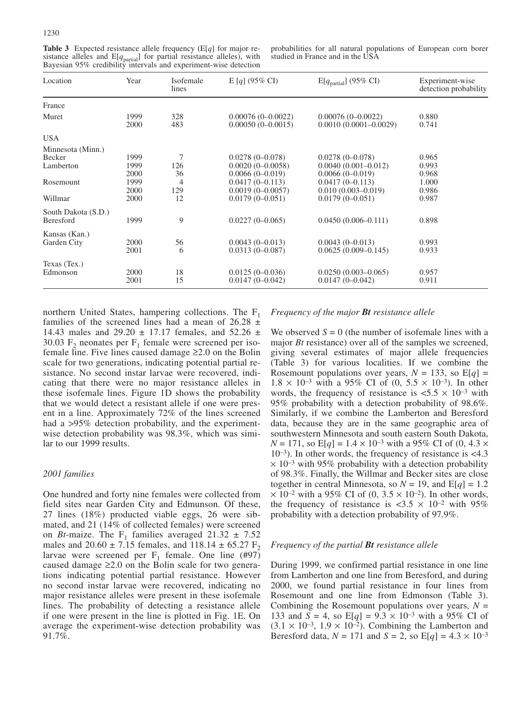**Table 3** Expected resistance allele frequency (E[*q*] for major resistance alleles and  $E[q_{\text{partial}}]$  for partial resistance alleles), with Bayesian 95% credibility intervals and experiment-wise detection

probabilities for all natural populations of European corn borer studied in France and in the USA

| Location            | Year         | Isofemale<br>lines | $E[q] (95\% CI)$                           | $E[q_{\text{partial}}]$ (95% CI)                 | Experiment-wise<br>detection probability |
|---------------------|--------------|--------------------|--------------------------------------------|--------------------------------------------------|------------------------------------------|
| France              |              |                    |                                            |                                                  |                                          |
| Muret               | 1999<br>2000 | 328<br>483         | $0.00076(0-0.0022)$<br>$0.00050(0-0.0015)$ | $0.00076(0-0.0022)$<br>$0.0010(0.0001 - 0.0029)$ | 0.880<br>0.741                           |
| <b>USA</b>          |              |                    |                                            |                                                  |                                          |
| Minnesota (Minn.)   |              |                    |                                            |                                                  |                                          |
| Becker              | 1999         | 7                  | $0.0278(0-0.078)$                          | $0.0278(0-0.078)$                                | 0.965                                    |
| Lamberton           | 1999         | 126                | $0.0020(0-0.0058)$                         | $0.0040(0.001 - 0.012)$                          | 0.993                                    |
|                     | 2000         | 36                 | $0.0066(0-0.019)$                          | $0.0066(0-0.019)$                                | 0.968                                    |
| Rosemount           | 1999         | 4                  | $0.0417(0 - 0.113)$                        | $0.0417(0-0.113)$                                | 1.000                                    |
|                     | 2000         | 129                | $0.0019(0 - 0.0057)$                       | $0.010(0.003 - 0.019)$                           | 0.986                                    |
| Willmar             | 2000         | 12                 | $0.0179(0-0.051)$                          | $0.0179(0 - 0.051)$                              | 0.987                                    |
| South Dakota (S.D.) |              |                    |                                            |                                                  |                                          |
| Beresford           | 1999         | 9                  | $0.0227(0-0.065)$                          | $0.0450(0.006 - 0.111)$                          | 0.898                                    |
| Kansas (Kan.)       |              |                    |                                            |                                                  |                                          |
| Garden City         | 2000         | 56                 | $0.0043(0-0.013)$                          | $0.0043(0-0.013)$                                | 0.993                                    |
|                     | 2001         | 6                  | $0.0313(0-0.087)$                          | $0.0625(0.009 - 0.145)$                          | 0.933                                    |
| Texas (Tex.)        |              |                    |                                            |                                                  |                                          |
| Edmonson            | 2000         | 18                 | $0.0125(0-0.036)$                          | $0.0250(0.003 - 0.065)$                          | 0.957                                    |
|                     | 2001         | 15                 | $0.0147(0-0.042)$                          | $0.0147(0 - 0.042)$                              | 0.911                                    |

northern United States, hampering collections. The  $F_1$ families of the screened lines had a mean of  $26.28 \pm$ 14.43 males and  $29.20 \pm 17.17$  females, and  $52.26 \pm 17.17$ 30.03  $F_2$  neonates per  $F_1$  female were screened per isofemale line. Five lines caused damage  $\geq 2.0$  on the Bolin scale for two generations, indicating potential partial resistance. No second instar larvae were recovered, indicating that there were no major resistance alleles in these isofemale lines. Figure 1D shows the probability that we would detect a resistant allele if one were present in a line. Approximately 72% of the lines screened had a >95% detection probability, and the experimentwise detection probability was 98.3%, which was similar to our 1999 results.

# *2001 families*

One hundred and forty nine females were collected from field sites near Garden City and Edmunson. Of these, 27 lines (18%) producted viable eggs, 26 were sibmated, and 21 (14% of collected females) were screened on *Bt*-maize. The  $F_1$  families averaged 21.32  $\pm$  7.52 males and  $20.60 \pm 7.15$  females, and  $118.14 \pm 65.27$  F<sub>2</sub> larvae were screened per  $F_1$  female. One line (#97) caused damage  $\geq 2.0$  on the Bolin scale for two generations indicating potential partial resistance. However no second instar larvae were recovered, indicating no major resistance alleles were present in these isofemale lines. The probability of detecting a resistance allele if one were present in the line is plotted in Fig. 1E. On average the experiment-wise detection probability was 91.7%.

## *Frequency of the major Bt resistance allele*

We observed  $S = 0$  (the number of isofemale lines with a major *Bt* resistance) over all of the samples we screened, giving several estimates of major allele frequencies (Table 3) for various localities. If we combine the Rosemount populations over years,  $N = 133$ , so  $E[q] =$  $1.8 \times 10^{-3}$  with a 95% CI of (0, 5.5  $\times$  10<sup>-3</sup>). In other words, the frequency of resistance is  $\langle 5.5 \times 10^{-3} \text{ with} \rangle$ 95% probability with a detection probability of 98.6%. Similarly, if we combine the Lamberton and Beresford data, because they are in the same geographic area of southwestern Minnesota and south eastern South Dakota,  $N = 171$ , so  $E[q] = 1.4 \times 10^{-3}$  with a 95% CI of (0, 4.3  $\times$  $10^{-3}$ ). In other words, the frequency of resistance is <4.3  $\times$  10<sup>-3</sup> with 95% probability with a detection probability of 98.3%. Finally, the Willmar and Becker sites are close together in central Minnesota, so  $N = 19$ , and  $E[q] = 1.2$  $\times$  10<sup>-2</sup> with a 95% CI of (0, 3.5  $\times$  10<sup>-2</sup>). In other words, the frequency of resistance is  $\langle 3.5 \times 10^{-2} \text{ with } 95\%$ probability with a detection probability of 97.9%.

# *Frequency of the partial Bt resistance allele*

During 1999, we confirmed partial resistance in one line from Lamberton and one line from Beresford, and during 2000, we found partial resistance in four lines from Rosemount and one line from Edmonson (Table 3). Combining the Rosemount populations over years,  $N =$ 133 and *S* = 4, so E[*q*] =  $9.3 \times 10^{-3}$  with a 95% CI of  $(3.1 \times 10^{-3}, 1.9 \times 10^{-2})$ . Combining the Lamberton and Beresford data,  $N = 171$  and  $S = 2$ , so  $E[q] = 4.3 \times 10^{-3}$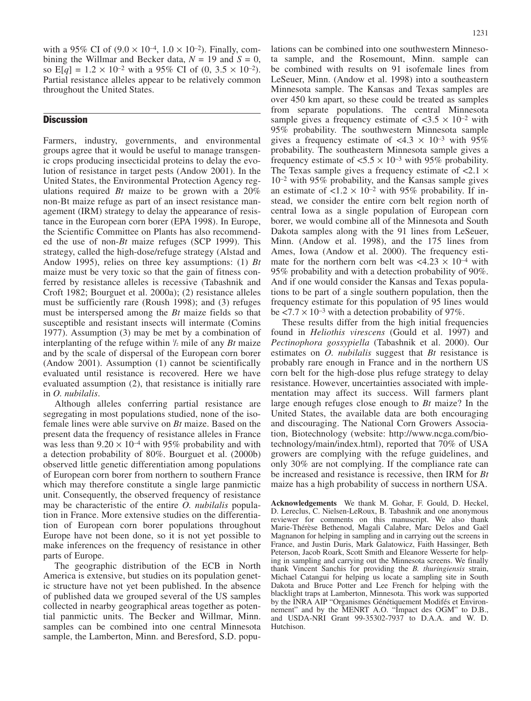with a 95% CI of  $(9.0 \times 10^{-4}, 1.0 \times 10^{-2})$ . Finally, combining the Willmar and Becker data,  $N = 19$  and  $S = 0$ , so  $E[q] = 1.2 \times 10^{-2}$  with a 95% CI of (0, 3.5  $\times$  10<sup>-2</sup>). Partial resistance alleles appear to be relatively common throughout the United States.

# **Discussion**

Farmers, industry, governments, and environmental groups agree that it would be useful to manage transgenic crops producing insecticidal proteins to delay the evolution of resistance in target pests (Andow 2001). In the United States, the Environmental Protection Agency regulations required *Bt* maize to be grown with a 20% non-Bt maize refuge as part of an insect resistance management (IRM) strategy to delay the appearance of resistance in the European corn borer (EPA 1998). In Europe, the Scientific Committee on Plants has also recommended the use of non-*Bt* maize refuges (SCP 1999). This strategy, called the high-dose/refuge strategy (Alstad and Andow 1995), relies on three key assumptions: (1) *Bt* maize must be very toxic so that the gain of fitness conferred by resistance alleles is recessive (Tabashnik and Croft 1982; Bourguet et al. 2000a); (2) resistance alleles must be sufficiently rare (Roush 1998); and (3) refuges must be interspersed among the *Bt* maize fields so that susceptible and resistant insects will intermate (Comins 1977). Assumption (3) may be met by a combination of interplanting of the refuge within 1 /2 mile of any *Bt* maize and by the scale of dispersal of the European corn borer (Andow 2001). Assumption (1) cannot be scientifically evaluated until resistance is recovered. Here we have evaluated assumption (2), that resistance is initially rare in *O. nubilalis*.

Although alleles conferring partial resistance are segregating in most populations studied, none of the isofemale lines were able survive on *Bt* maize. Based on the present data the frequency of resistance alleles in France was less than  $9.20 \times 10^{-4}$  with 95% probability and with a detection probability of 80%. Bourguet et al. (2000b) observed little genetic differentiation among populations of European corn borer from northern to southern France which may therefore constitute a single large panmictic unit. Consequently, the observed frequency of resistance may be characteristic of the entire *O. nubilalis* population in France. More extensive studies on the differentiation of European corn borer populations throughout Europe have not been done, so it is not yet possible to make inferences on the frequency of resistance in other parts of Europe.

The geographic distribution of the ECB in North America is extensive, but studies on its population genetic structure have not yet been published. In the absence of published data we grouped several of the US samples collected in nearby geographical areas together as potential panmictic units. The Becker and Willmar, Minn. samples can be combined into one central Minnesota sample, the Lamberton, Minn. and Beresford, S.D. popu-

lations can be combined into one southwestern Minnesota sample, and the Rosemount, Minn. sample can be combined with results on 91 isofemale lines from LeSeuer, Minn. (Andow et al. 1998) into a southeastern Minnesota sample. The Kansas and Texas samples are over 450 km apart, so these could be treated as samples from separate populations. The central Minnesota sample gives a frequency estimate of  $\langle 3.5 \times 10^{-2} \text{ with}$ 95% probability. The southwestern Minnesota sample gives a frequency estimate of  $\langle 4.3 \times 10^{-3} \text{ with } 95\%$ probability. The southeastern Minnesota sample gives a frequency estimate of  $\langle 5.5 \times 10^{-3} \text{ with } 95\%$  probability. The Texas sample gives a frequency estimate of  $\langle 2.1 \times$ 10–2 with 95% probability, and the Kansas sample gives an estimate of  $\langle 1.2 \times 10^{-2} \text{ with } 95\%$  probability. If instead, we consider the entire corn belt region north of central Iowa as a single population of European corn borer, we would combine all of the Minnesota and South Dakota samples along with the 91 lines from LeSeuer, Minn. (Andow et al. 1998), and the 175 lines from Ames, Iowa (Andow et al. 2000). The frequency estimate for the northern corn belt was  $\langle 4.23 \times 10^{-4} \text{ with}$ 95% probability and with a detection probability of 90%. And if one would consider the Kansas and Texas populations to be part of a single southern population, then the frequency estimate for this population of 95 lines would be  $\langle 7.7 \times 10^{-3}$  with a detection probability of 97%.

These results differ from the high initial frequencies found in *Heliothis virescens* (Gould et al. 1997) and *Pectinophora gossypiella* (Tabashnik et al. 2000). Our estimates on *O. nubilalis* suggest that *Bt* resistance is probably rare enough in France and in the northern US corn belt for the high-dose plus refuge strategy to delay resistance. However, uncertainties associated with implementation may affect its success. Will farmers plant large enough refuges close enough to *Bt* maize? In the United States, the available data are both encouraging and discouraging. The National Corn Growers Association, Biotechnology (website: http://www.ncga.com/biotechnology/main/index.html), reported that 70% of USA growers are complying with the refuge guidelines, and only 30% are not complying. If the compliance rate can be increased and resistance is recessive, then IRM for *Bt* maize has a high probability of success in northern USA.

**Acknowledgements** We thank M. Gohar, F. Gould, D. Heckel, D. Lereclus, C. Nielsen-LeRoux, B. Tabashnik and one anonymous reviewer for comments on this manuscript. We also thank Marie-Thérèse Bethenod, Magali Calabre, Marc Delos and Gaël Magnanon for helping in sampling and in carrying out the screens in France, and Justin Duris, Mark Galatowicz, Faith Hassinger, Beth Peterson, Jacob Roark, Scott Smith and Eleanore Wesserte for helping in sampling and carrying out the Minnesota screens. We finally thank Vincent Sanchis for providing the *B. thuringiensis* strain, Michael Catangui for helping us locate a sampling site in South Dakota and Bruce Potter and Lee French for helping with the blacklight traps at Lamberton, Minnesota. This work was supported by the INRA AIP "Organismes Génétiquement Modifés et Environnement" and by the MENRT A.O. "Impact des OGM" to D.B., and USDA-NRI Grant 99-35302-7937 to D.A.A. and W. D. Hutchison.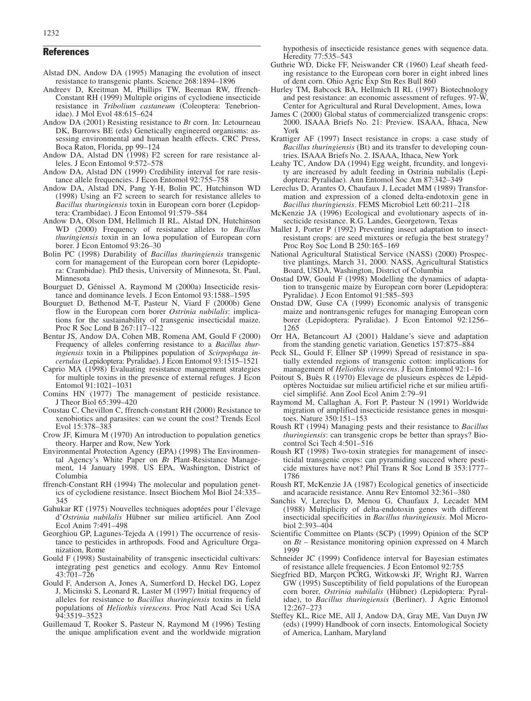- Alstad DN, Andow DA (1995) Managing the evolution of insect resistance to transgenic plants. Science 268:1894–1896
- Andreev D, Kreitman M, Phillips TW, Beeman RW, ffrench-Constant RH (1999) Multiple origins of cyclodiene insecticide resistance in *Tribolium castaneum* (Coleoptera: Tenebrionidae). J Mol Evol 48:615–624
- Andow DA (2001) Resisting resistance to *Bt* corn. In: Letourneau DK, Burrows BE (eds) Genetically engineered organisms: assessing environmental and human health effects. CRC Press, Boca Raton, Florida, pp 99–124
- Andow DA, Alstad DN (1998) F2 screen for rare resistance alleles. J Econ Entomol 9:572–578
- Andow DA, Alstad DN (1999) Credibility interval for rare resistance allele frequencies. J Econ Entomol 92:755–758
- Andow DA, Alstad DN, Pang Y-H, Bolin PC, Hutchinson WD (1998) Using an F2 screen to search for resistance alleles to *Bacillus thuringiensis* toxin in European corn borer (Lepidoptera: Crambidae). J Econ Entomol 91:579–584
- Andow DA, Olson DM, Hellmich II RL, Alstad DN, Hutchinson WD (2000) Frequency of resistance alleles to *Bacillus thuringiensis* toxin in an Iowa population of European corn borer. J Econ Entomol 93:26–30
- Bolin PC (1998) Durability of *Bacillus thuringiensis* transgenic corn for management of the European corn borer (Lepidoptera: Crambidae). PhD thesis, University of Minnesota, St. Paul, Minnesota
- Bourguet D, Génissel A, Raymond M (2000a) Insecticide resistance and dominance levels. J Econ Entomol 93:1588–1595
- Bourguet D, Bethenod M-T, Pasteur N, Viard F (2000b) Gene flow in the European corn borer *Ostrinia nubilalis*: implications for the sustainability of transgenic insecticidal maize. Proc R Soc Lond B 267:117–122
- Bentur JS, Andow DA, Cohen MB, Romena AM, Gould F (2000) Frequency of alleles conferring resistance to a *Bacillus thuringiensis* toxin in a Philippines population of *Scirpophaga incertulas* (Lepidoptera: Pyralidae). J Econ Entomol 93:1515–1521
- Caprio MA (1998) Evaluating resistance management strategies for multiple toxins in the presence of external refuges. J Econ Entomol 91:1021–1031
- Comins HN (1977) The management of pesticide resistance. J Theor Biol 65:399–420
- Coustau C, Chevillon C, ffrench-constant RH (2000) Resistance to xenobiotics and parasites: can we count the cost? Trends Ecol Evol 15:378–383
- Crow JF, Kimura M (1970) An introduction to population genetics theory. Harper and Row, New York
- Environmental Protection Agency (EPA) (1998) The Environmental Agency's White Paper on *Bt* Plant-Resistance Management, 14 January 1998. US EPA, Washington, District of Columbia
- ffrench-Constant RH (1994) The molecular and population genetics of cyclodiene resistance. Insect Biochem Mol Biol 24:335– 345
- Gahukar RT (1975) Nouvelles techniques adoptées pour l'élevage d'*Ostrinia nubilalis* Hübner sur milieu artificiel. Ann Zool Ecol Anim 7:491–498
- Georghiou GP, Lagunes-Tejeda A (1991) The occurrence of resistance to pesticides in arthropods. Food and Agriculture Organization, Rome
- Gould F (1998) Sustainability of transgenic insecticidal cultivars: integrating pest genetics and ecology. Annu Rev Entomol 43:701–726
- Gould F, Anderson A, Jones A, Sumerford D, Heckel DG, Lopez J, Micinski S, Leonard R, Laster M (1997) Initial frequency of alleles for resistance to *Bacillus thuringiensis* toxins in field populations of *Heliothis virescens*. Proc Natl Acad Sci USA 94:3519–3523
- Guillemaud T, Rooker S, Pasteur N, Raymond M (1996) Testing the unique amplification event and the worldwide migration

hypothesis of insecticide resistance genes with sequence data. Heredity 77:535–543

- Guthrie WD, Dicke FF, Neiswander CR (1960) Leaf sheath feeding resistance to the European corn borer in eight inbred lines of dent corn. Ohio Agric Exp Stn Res Bull 860
- Hurley TM, Babcock BA, Hellmich II RL (1997) Biotechnology and pest resistance: an economic assessment of refuges. 97-W, Center for Agricultural and Rural Development, Ames, Iowa
- James C (2000) Global status of commercialized transgenic crops: 2000. ISAAA Briefs No. 21: Preview. ISAAA, Ithaca, New York
- Krattiger AF (1997) Insect resistance in crops: a case study of *Bacillus thuringiensis* (Bt) and its transfer to developing countries. ISAAA Briefs No. 2. ISAAA, Ithaca, New York
- Leahy TC, Andow DA (1994) Egg weight, frcundity, and longevity are increased by adult feeding in Ostrinia nubilalis (Lepidoptera: Pyralidae). Ann Entomol Soc Am 87:342–349
- Lereclus D, Arantes O, Chaufaux J, Lecadet MM (1989) Transformation and expression of a cloned delta-endotoxin gene in *Bacillus thuringiensis*. FEMS Microbiol Lett 60:211–218
- McKenzie JA (1996) Ecological and evolutionary aspects of insecticide resistance. R.G. Landes, Georgetown, Texas
- Mallet J, Porter P (1992) Preventing insect adaptation to insectresistant crops: are seed mixtures or refugia the best strategy? Proc Roy Soc Lond B 250:165–169
- National Agricultural Statistical Service (NASS) (2000) Prospective plantings, March 31, 2000. NASS, Agricultural Statistics Board, USDA, Washington, District of Columbia
- Onstad DW, Gould F (1998) Modelling the dynamics of adaptation to transgenic maize by European corn borer (Lepidoptera: Pyralidae). J Econ Entomol 91:585–593
- Onstad DW, Guse CA (1999) Economic analysis of transgenic maize and nontransgenic refuges for managing European corn borer (Lepidoptera: Pyralidae). J Econ Entomol 92:1256– 1265
- Orr HA, Betancourt AJ (2001) Haldane's sieve and adaptation from the standing genetic variation. Genetics 157:875–884
- Peck SL, Gould F, Ellner SP (1999) Spread of resistance in spatially extended regions of transgenic cotton: implications for management of *Heliothis virescens*. J Econ Entomol 92:1–16
- Poitout S, Buès R (1970) Elevage de plusieurs espèces de Lépidoptères Noctuidae sur milieu artificiel riche et sur milieu artificiel simplifié. Ann Zool Ecol Anim 2:79–91
- Raymond M, Callaghan A, Fort P, Pasteur N (1991) Worldwide migration of amplified insecticide resistance genes in mosquitoes. Nature 350:151–153
- Roush RT (1994) Managing pests and their resistance to *Bacillus thuringiensis*: can transgenic crops be better than sprays? Biocontrol Sci Tech 4:501–516
- Roush RT (1998) Two-toxin strategies for management of insecticidal transgenic crops: can pyramiding succeed where pesticide mixtures have not? Phil Trans R Soc Lond B 353:1777– 1786
- Roush RT, McKenzie JA (1987) Ecological genetics of insecticide and acaracide resistance. Annu Rev Entomol 32:361–380
- Sanchis V, Lereclus D, Menou G, Chaufaux J, Lecadet MM (1988) Multiplicity of delta-endotoxin genes with different insecticidal specificities in *Bacillus thuringiensis*. Mol Microbiol 2:393–404
- Scientific Committee on Plants (SCP) (1999) Opinion of the SCP on *Bt* – Resistance monitoring opinion expressed on 4 March 1999
- Schneider JC (1999) Confidence interval for Bayesian estimates of resistance allele frequencies. J Econ Entomol 92:755
- Siegfried BD, Marçon PCRG, Witkowski JF, Wright RJ, Warren GW (1995) Susceptibility of field populations of the European corn borer, *Ostrinia nubilalis* (Hübner) (Lepidoptera: Pyralidae), to *Bacillus thuringiensis* (Berliner). J Agric Entomol 12:267–273
- Steffey KL, Rice ME, All J, Andow DA, Gray ME, Van Duyn JW (eds) (1999) Handbook of corn insects. Entomological Society of America, Lanham, Maryland